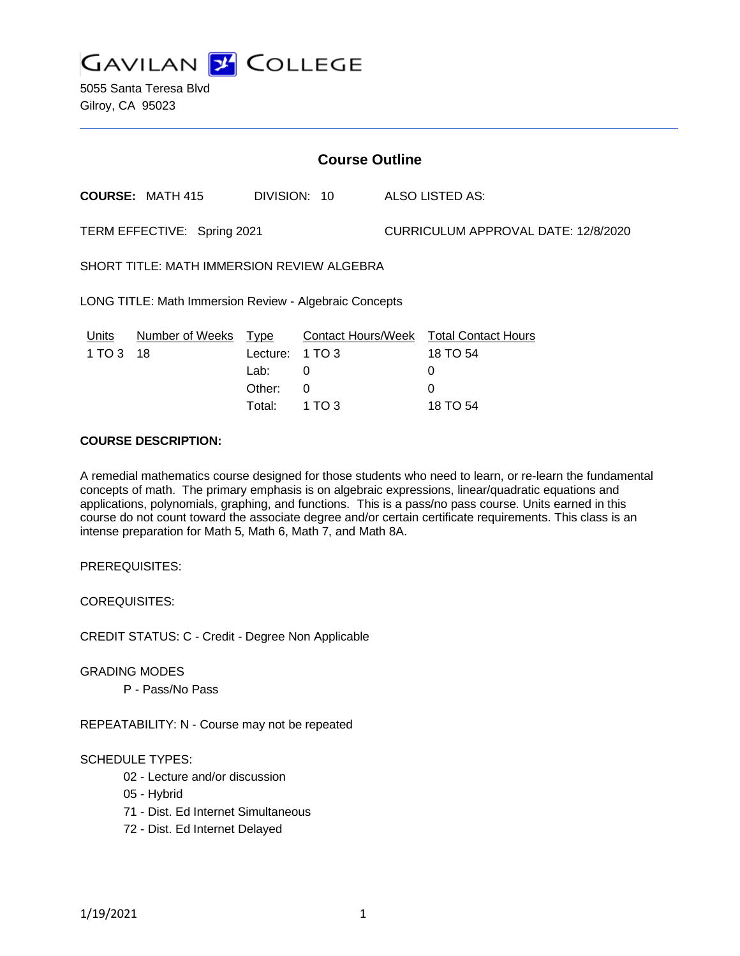**GAVILAN J COLLEGE** 

5055 Santa Teresa Blvd Gilroy, CA 95023

| <b>Course Outline</b>                                  |                         |                                           |                  |                                     |                                                                            |
|--------------------------------------------------------|-------------------------|-------------------------------------------|------------------|-------------------------------------|----------------------------------------------------------------------------|
|                                                        | <b>COURSE: MATH 415</b> | DIVISION: 10                              |                  |                                     | ALSO LISTED AS:                                                            |
| TERM EFFECTIVE: Spring 2021                            |                         |                                           |                  | CURRICULUM APPROVAL DATE: 12/8/2020 |                                                                            |
| SHORT TITLE: MATH IMMERSION REVIEW ALGEBRA             |                         |                                           |                  |                                     |                                                                            |
| LONG TITLE: Math Immersion Review - Algebraic Concepts |                         |                                           |                  |                                     |                                                                            |
| Units<br>1 TO 3 18                                     | <b>Number of Weeks</b>  | <u>Type</u><br>Lecture:<br>Lab:<br>Other: | 1 TO 3<br>0<br>0 |                                     | <b>Contact Hours/Week Total Contact Hours</b><br>18 TO 54<br>0<br>$\Omega$ |
|                                                        |                         | Total:                                    | 1 TO 3           |                                     | 18 TO 54                                                                   |

#### **COURSE DESCRIPTION:**

A remedial mathematics course designed for those students who need to learn, or re-learn the fundamental concepts of math. The primary emphasis is on algebraic expressions, linear/quadratic equations and applications, polynomials, graphing, and functions. This is a pass/no pass course. Units earned in this course do not count toward the associate degree and/or certain certificate requirements. This class is an intense preparation for Math 5, Math 6, Math 7, and Math 8A.

PREREQUISITES:

COREQUISITES:

CREDIT STATUS: C - Credit - Degree Non Applicable

GRADING MODES

P - Pass/No Pass

REPEATABILITY: N - Course may not be repeated

### SCHEDULE TYPES:

- 02 Lecture and/or discussion
- 05 Hybrid
- 71 Dist. Ed Internet Simultaneous
- 72 Dist. Ed Internet Delayed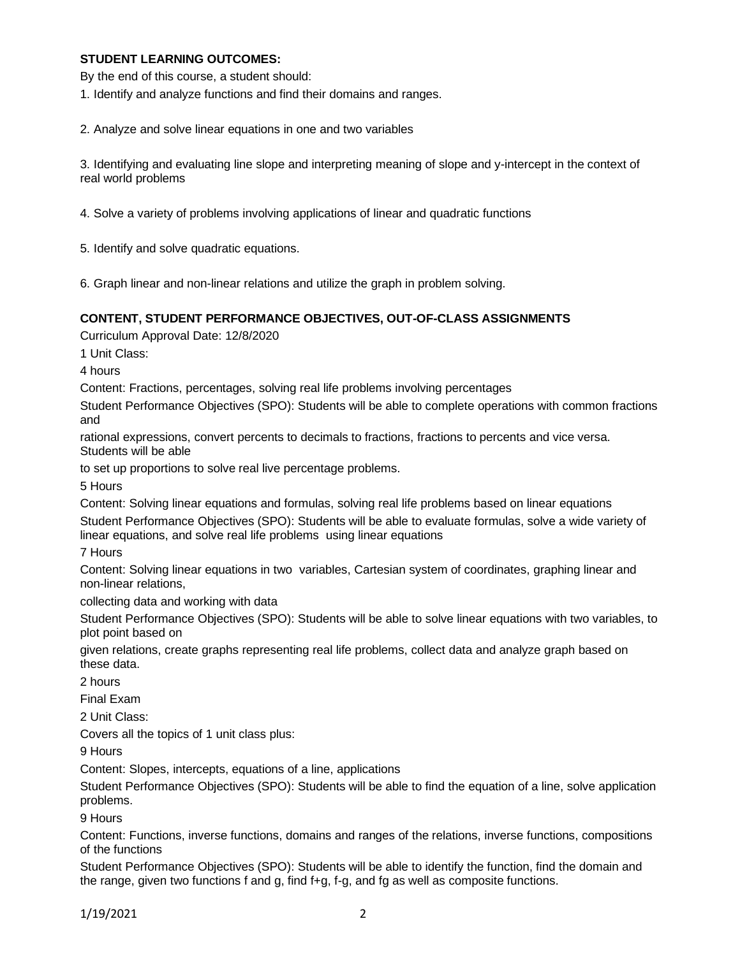### **STUDENT LEARNING OUTCOMES:**

By the end of this course, a student should:

1. Identify and analyze functions and find their domains and ranges.

2. Analyze and solve linear equations in one and two variables

3. Identifying and evaluating line slope and interpreting meaning of slope and y-intercept in the context of real world problems

4. Solve a variety of problems involving applications of linear and quadratic functions

5. Identify and solve quadratic equations.

6. Graph linear and non-linear relations and utilize the graph in problem solving.

### **CONTENT, STUDENT PERFORMANCE OBJECTIVES, OUT-OF-CLASS ASSIGNMENTS**

Curriculum Approval Date: 12/8/2020

1 Unit Class:

4 hours

Content: Fractions, percentages, solving real life problems involving percentages

Student Performance Objectives (SPO): Students will be able to complete operations with common fractions and

rational expressions, convert percents to decimals to fractions, fractions to percents and vice versa. Students will be able

to set up proportions to solve real live percentage problems.

5 Hours

Content: Solving linear equations and formulas, solving real life problems based on linear equations Student Performance Objectives (SPO): Students will be able to evaluate formulas, solve a wide variety of linear equations, and solve real life problems using linear equations

7 Hours

Content: Solving linear equations in two variables, Cartesian system of coordinates, graphing linear and non-linear relations,

collecting data and working with data

Student Performance Objectives (SPO): Students will be able to solve linear equations with two variables, to plot point based on

given relations, create graphs representing real life problems, collect data and analyze graph based on these data.

2 hours

Final Exam

2 Unit Class:

Covers all the topics of 1 unit class plus:

9 Hours

Content: Slopes, intercepts, equations of a line, applications

Student Performance Objectives (SPO): Students will be able to find the equation of a line, solve application problems.

9 Hours

Content: Functions, inverse functions, domains and ranges of the relations, inverse functions, compositions of the functions

Student Performance Objectives (SPO): Students will be able to identify the function, find the domain and the range, given two functions f and g, find f+g, f-g, and fg as well as composite functions.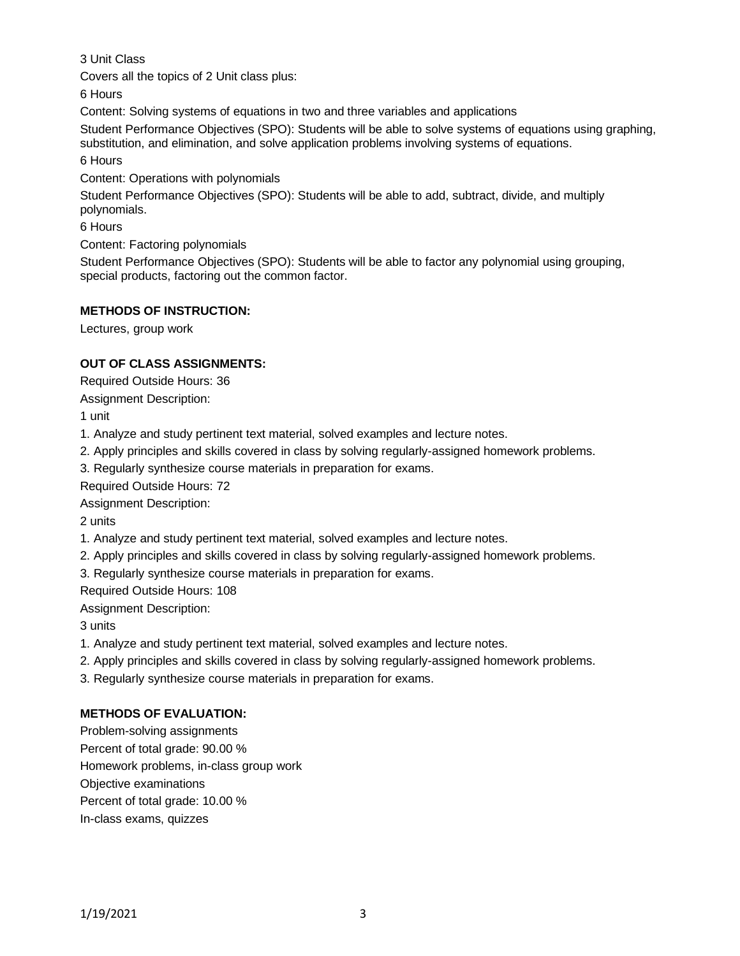3 Unit Class

Covers all the topics of 2 Unit class plus:

6 Hours

Content: Solving systems of equations in two and three variables and applications

Student Performance Objectives (SPO): Students will be able to solve systems of equations using graphing, substitution, and elimination, and solve application problems involving systems of equations.

6 Hours

Content: Operations with polynomials

Student Performance Objectives (SPO): Students will be able to add, subtract, divide, and multiply polynomials.

6 Hours

Content: Factoring polynomials

Student Performance Objectives (SPO): Students will be able to factor any polynomial using grouping, special products, factoring out the common factor.

## **METHODS OF INSTRUCTION:**

Lectures, group work

# **OUT OF CLASS ASSIGNMENTS:**

Required Outside Hours: 36

Assignment Description:

1 unit

- 1. Analyze and study pertinent text material, solved examples and lecture notes.
- 2. Apply principles and skills covered in class by solving regularly-assigned homework problems.
- 3. Regularly synthesize course materials in preparation for exams.

Required Outside Hours: 72

Assignment Description:

2 units

- 1. Analyze and study pertinent text material, solved examples and lecture notes.
- 2. Apply principles and skills covered in class by solving regularly-assigned homework problems.

3. Regularly synthesize course materials in preparation for exams.

Required Outside Hours: 108

Assignment Description:

3 units

- 1. Analyze and study pertinent text material, solved examples and lecture notes.
- 2. Apply principles and skills covered in class by solving regularly-assigned homework problems.

3. Regularly synthesize course materials in preparation for exams.

# **METHODS OF EVALUATION:**

Problem-solving assignments Percent of total grade: 90.00 % Homework problems, in-class group work Objective examinations Percent of total grade: 10.00 % In-class exams, quizzes